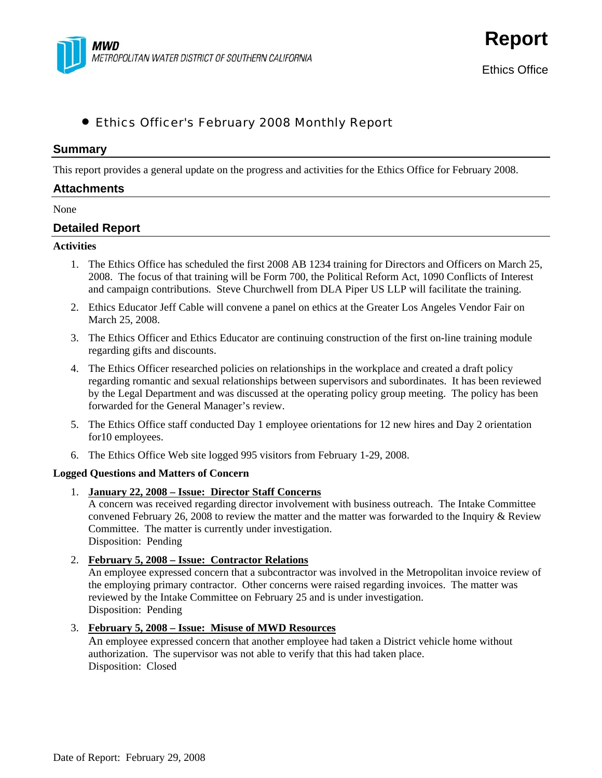

**Report**

# • Ethics Officer's February 2008 Monthly Report

### **Summary**

This report provides a general update on the progress and activities for the Ethics Office for February 2008.

# **Attachments**

#### None

## **Detailed Report**

#### **Activities**

- 1. The Ethics Office has scheduled the first 2008 AB 1234 training for Directors and Officers on March 25, 2008. The focus of that training will be Form 700, the Political Reform Act, 1090 Conflicts of Interest and campaign contributions. Steve Churchwell from DLA Piper US LLP will facilitate the training.
- 2. Ethics Educator Jeff Cable will convene a panel on ethics at the Greater Los Angeles Vendor Fair on March 25, 2008.
- 3. The Ethics Officer and Ethics Educator are continuing construction of the first on-line training module regarding gifts and discounts.
- 4. The Ethics Officer researched policies on relationships in the workplace and created a draft policy regarding romantic and sexual relationships between supervisors and subordinates. It has been reviewed by the Legal Department and was discussed at the operating policy group meeting. The policy has been forwarded for the General Manager's review.
- 5. The Ethics Office staff conducted Day 1 employee orientations for 12 new hires and Day 2 orientation for10 employees.
- 6. The Ethics Office Web site logged 995 visitors from February 1-29, 2008.

### **Logged Questions and Matters of Concern**

1. **January 22, 2008 – Issue: Director Staff Concerns**

A concern was received regarding director involvement with business outreach. The Intake Committee convened February 26, 2008 to review the matter and the matter was forwarded to the Inquiry & Review Committee. The matter is currently under investigation. Disposition: Pending

2. **February 5, 2008 – Issue: Contractor Relations**

An employee expressed concern that a subcontractor was involved in the Metropolitan invoice review of the employing primary contractor. Other concerns were raised regarding invoices. The matter was reviewed by the Intake Committee on February 25 and is under investigation. Disposition: Pending

### 3. **February 5, 2008 – Issue: Misuse of MWD Resources**

An employee expressed concern that another employee had taken a District vehicle home without authorization. The supervisor was not able to verify that this had taken place. Disposition: Closed